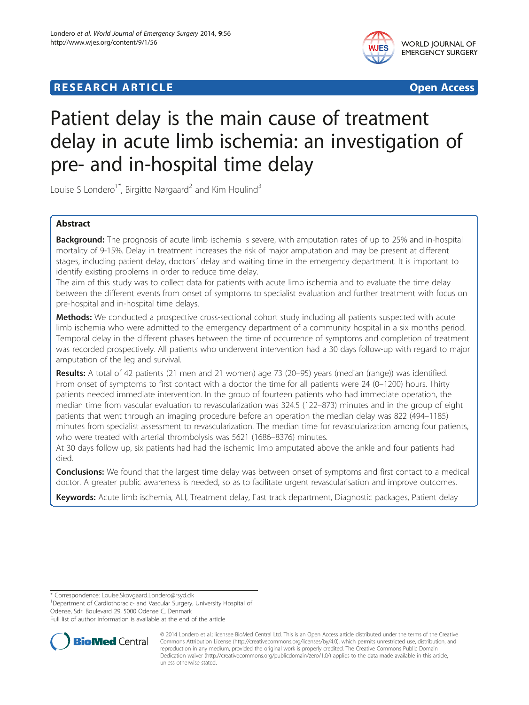## **RESEARCH ARTICLE Example 2018 12:00 DEAR COPEN ACCESS**



# Patient delay is the main cause of treatment delay in acute limb ischemia: an investigation of pre- and in-hospital time delay

Louise S Londero<sup>1\*</sup>, Birgitte Nørgaard<sup>2</sup> and Kim Houlind<sup>3</sup>

## Abstract

Background: The prognosis of acute limb ischemia is severe, with amputation rates of up to 25% and in-hospital mortality of 9-15%. Delay in treatment increases the risk of major amputation and may be present at different stages, including patient delay, doctors´ delay and waiting time in the emergency department. It is important to identify existing problems in order to reduce time delay.

The aim of this study was to collect data for patients with acute limb ischemia and to evaluate the time delay between the different events from onset of symptoms to specialist evaluation and further treatment with focus on pre-hospital and in-hospital time delays.

Methods: We conducted a prospective cross-sectional cohort study including all patients suspected with acute limb ischemia who were admitted to the emergency department of a community hospital in a six months period. Temporal delay in the different phases between the time of occurrence of symptoms and completion of treatment was recorded prospectively. All patients who underwent intervention had a 30 days follow-up with regard to major amputation of the leg and survival.

Results: A total of 42 patients (21 men and 21 women) age 73 (20–95) years (median (range)) was identified. From onset of symptoms to first contact with a doctor the time for all patients were 24 (0–1200) hours. Thirty patients needed immediate intervention. In the group of fourteen patients who had immediate operation, the median time from vascular evaluation to revascularization was 324.5 (122–873) minutes and in the group of eight patients that went through an imaging procedure before an operation the median delay was 822 (494–1185) minutes from specialist assessment to revascularization. The median time for revascularization among four patients, who were treated with arterial thrombolysis was 5621 (1686–8376) minutes.

At 30 days follow up, six patients had had the ischemic limb amputated above the ankle and four patients had died.

**Conclusions:** We found that the largest time delay was between onset of symptoms and first contact to a medical doctor. A greater public awareness is needed, so as to facilitate urgent revascularisation and improve outcomes.

Keywords: Acute limb ischemia, ALI, Treatment delay, Fast track department, Diagnostic packages, Patient delay

\* Correspondence: [Louise.Skovgaard.Londero@rsyd.dk](mailto:Louise.Skovgaard.Londero@rsyd.dk) <sup>1</sup>

<sup>1</sup>Department of Cardiothoracic- and Vascular Surgery, University Hospital of Odense, Sdr. Boulevard 29, 5000 Odense C, Denmark

Full list of author information is available at the end of the article



© 2014 Londero et al.; licensee BioMed Central Ltd. This is an Open Access article distributed under the terms of the Creative Commons Attribution License [\(http://creativecommons.org/licenses/by/4.0\)](http://creativecommons.org/licenses/by/4.0), which permits unrestricted use, distribution, and reproduction in any medium, provided the original work is properly credited. The Creative Commons Public Domain Dedication waiver [\(http://creativecommons.org/publicdomain/zero/1.0/](http://creativecommons.org/publicdomain/zero/1.0/)) applies to the data made available in this article, unless otherwise stated.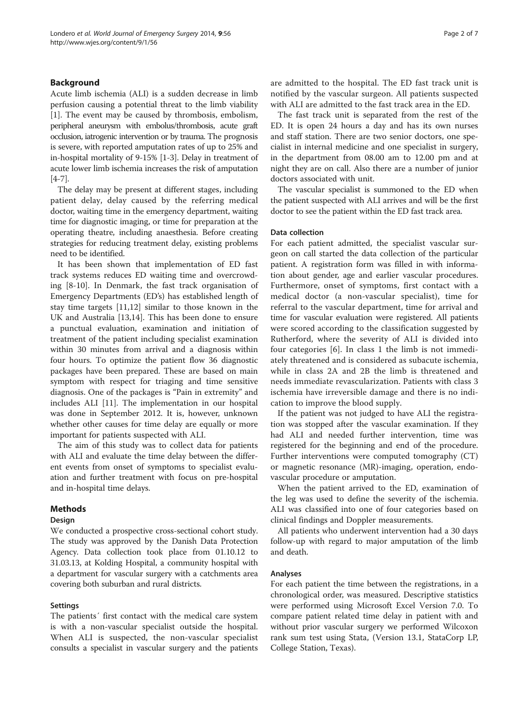## Background

Acute limb ischemia (ALI) is a sudden decrease in limb perfusion causing a potential threat to the limb viability [[1\]](#page-5-0). The event may be caused by thrombosis, embolism, peripheral aneurysm with embolus/thrombosis, acute graft occlusion, iatrogenic intervention or by trauma. The prognosis is severe, with reported amputation rates of up to 25% and in-hospital mortality of 9-15% [\[1-3](#page-5-0)]. Delay in treatment of acute lower limb ischemia increases the risk of amputation [[4-7\]](#page-5-0).

The delay may be present at different stages, including patient delay, delay caused by the referring medical doctor, waiting time in the emergency department, waiting time for diagnostic imaging, or time for preparation at the operating theatre, including anaesthesia. Before creating strategies for reducing treatment delay, existing problems need to be identified.

It has been shown that implementation of ED fast track systems reduces ED waiting time and overcrowding [\[8](#page-5-0)-[10\]](#page-5-0). In Denmark, the fast track organisation of Emergency Departments (ED's) has established length of stay time targets [[11,12\]](#page-5-0) similar to those known in the UK and Australia [[13,14\]](#page-5-0). This has been done to ensure a punctual evaluation, examination and initiation of treatment of the patient including specialist examination within 30 minutes from arrival and a diagnosis within four hours. To optimize the patient flow 36 diagnostic packages have been prepared. These are based on main symptom with respect for triaging and time sensitive diagnosis. One of the packages is "Pain in extremity" and includes ALI [\[11\]](#page-5-0). The implementation in our hospital was done in September 2012. It is, however, unknown whether other causes for time delay are equally or more important for patients suspected with ALI.

The aim of this study was to collect data for patients with ALI and evaluate the time delay between the different events from onset of symptoms to specialist evaluation and further treatment with focus on pre-hospital and in-hospital time delays.

## Methods

#### Design

We conducted a prospective cross-sectional cohort study. The study was approved by the Danish Data Protection Agency. Data collection took place from 01.10.12 to 31.03.13, at Kolding Hospital, a community hospital with a department for vascular surgery with a catchments area covering both suburban and rural districts.

#### Settings

The patients´ first contact with the medical care system is with a non-vascular specialist outside the hospital. When ALI is suspected, the non-vascular specialist consults a specialist in vascular surgery and the patients are admitted to the hospital. The ED fast track unit is notified by the vascular surgeon. All patients suspected with ALI are admitted to the fast track area in the ED.

The fast track unit is separated from the rest of the ED. It is open 24 hours a day and has its own nurses and staff station. There are two senior doctors, one specialist in internal medicine and one specialist in surgery, in the department from 08.00 am to 12.00 pm and at night they are on call. Also there are a number of junior doctors associated with unit.

The vascular specialist is summoned to the ED when the patient suspected with ALI arrives and will be the first doctor to see the patient within the ED fast track area.

#### Data collection

For each patient admitted, the specialist vascular surgeon on call started the data collection of the particular patient. A registration form was filled in with information about gender, age and earlier vascular procedures. Furthermore, onset of symptoms, first contact with a medical doctor (a non-vascular specialist), time for referral to the vascular department, time for arrival and time for vascular evaluation were registered. All patients were scored according to the classification suggested by Rutherford, where the severity of ALI is divided into four categories [[6\]](#page-5-0). In class 1 the limb is not immediately threatened and is considered as subacute ischemia, while in class 2A and 2B the limb is threatened and needs immediate revascularization. Patients with class 3 ischemia have irreversible damage and there is no indication to improve the blood supply.

If the patient was not judged to have ALI the registration was stopped after the vascular examination. If they had ALI and needed further intervention, time was registered for the beginning and end of the procedure. Further interventions were computed tomography (CT) or magnetic resonance (MR)-imaging, operation, endovascular procedure or amputation.

When the patient arrived to the ED, examination of the leg was used to define the severity of the ischemia. ALI was classified into one of four categories based on clinical findings and Doppler measurements.

All patients who underwent intervention had a 30 days follow-up with regard to major amputation of the limb and death.

#### Analyses

For each patient the time between the registrations, in a chronological order, was measured. Descriptive statistics were performed using Microsoft Excel Version 7.0. To compare patient related time delay in patient with and without prior vascular surgery we performed Wilcoxon rank sum test using Stata, (Version 13.1, StataCorp LP, College Station, Texas).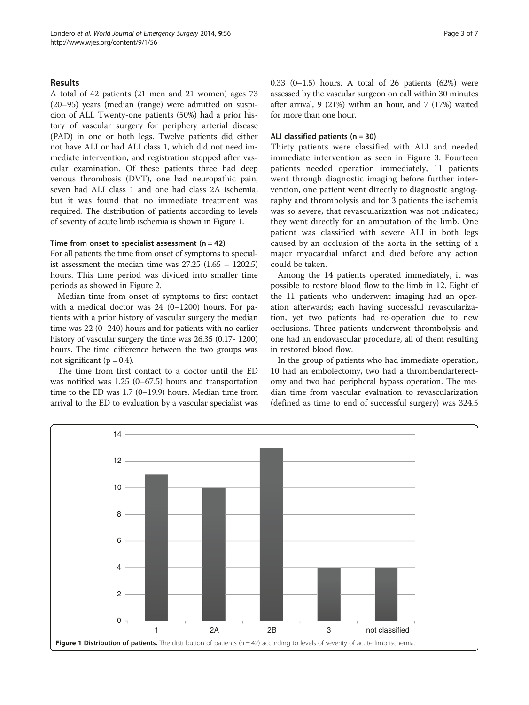## Results

A total of 42 patients (21 men and 21 women) ages 73 (20–95) years (median (range) were admitted on suspicion of ALI. Twenty-one patients (50%) had a prior history of vascular surgery for periphery arterial disease (PAD) in one or both legs. Twelve patients did either not have ALI or had ALI class 1, which did not need immediate intervention, and registration stopped after vascular examination. Of these patients three had deep venous thrombosis (DVT), one had neuropathic pain, seven had ALI class 1 and one had class 2A ischemia, but it was found that no immediate treatment was required. The distribution of patients according to levels of severity of acute limb ischemia is shown in Figure 1.

### Time from onset to specialist assessment  $(n = 42)$

For all patients the time from onset of symptoms to specialist assessment the median time was  $27.25$   $(1.65 - 1202.5)$ hours. This time period was divided into smaller time periods as showed in Figure [2.](#page-3-0)

Median time from onset of symptoms to first contact with a medical doctor was 24 (0–1200) hours. For patients with a prior history of vascular surgery the median time was 22 (0–240) hours and for patients with no earlier history of vascular surgery the time was 26.35 (0.17- 1200) hours. The time difference between the two groups was not significant ( $p = 0.4$ ).

The time from first contact to a doctor until the ED was notified was 1.25 (0–67.5) hours and transportation time to the ED was 1.7 (0–19.9) hours. Median time from arrival to the ED to evaluation by a vascular specialist was 0.33  $(0-1.5)$  hours. A total of 26 patients  $(62%)$  were assessed by the vascular surgeon on call within 30 minutes after arrival, 9 (21%) within an hour, and 7 (17%) waited for more than one hour.

#### ALI classified patients  $(n = 30)$

Thirty patients were classified with ALI and needed immediate intervention as seen in Figure [3](#page-3-0). Fourteen patients needed operation immediately, 11 patients went through diagnostic imaging before further intervention, one patient went directly to diagnostic angiography and thrombolysis and for 3 patients the ischemia was so severe, that revascularization was not indicated; they went directly for an amputation of the limb. One patient was classified with severe ALI in both legs caused by an occlusion of the aorta in the setting of a major myocardial infarct and died before any action could be taken.

Among the 14 patients operated immediately, it was possible to restore blood flow to the limb in 12. Eight of the 11 patients who underwent imaging had an operation afterwards; each having successful revascularization, yet two patients had re-operation due to new occlusions. Three patients underwent thrombolysis and one had an endovascular procedure, all of them resulting in restored blood flow.

In the group of patients who had immediate operation, 10 had an embolectomy, two had a thrombendarterectomy and two had peripheral bypass operation. The median time from vascular evaluation to revascularization (defined as time to end of successful surgery) was 324.5

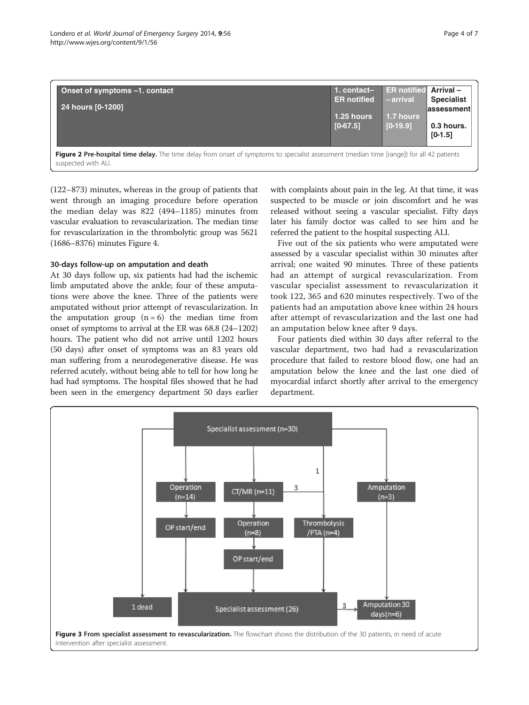<span id="page-3-0"></span>

| Onset of symptoms -1. contact<br>24 hours [0-1200]                                                                                                                       | 1. contact-<br><b>ER</b> notified<br>1.25 hours<br>$[0-67.5]$ | <b>ER</b> notified<br>- arrival<br>1.7 hours<br>$[0-19.9]$ | Arrival-<br><b>Specialist</b><br>lassessment<br>0.3 hours. |
|--------------------------------------------------------------------------------------------------------------------------------------------------------------------------|---------------------------------------------------------------|------------------------------------------------------------|------------------------------------------------------------|
| <b>Figure 2 Pre-hospital time delay.</b> The time delay from onset of symptoms to specialist assessment (median time [range]) for all 42 patients<br>suspected with ALI. |                                                               |                                                            | $[0-1.5]$                                                  |

(122–873) minutes, whereas in the group of patients that went through an imaging procedure before operation the median delay was 822 (494–1185) minutes from vascular evaluation to revascularization. The median time for revascularization in the thrombolytic group was 5621 (1686–8376) minutes Figure [4](#page-4-0).

### 30-days follow-up on amputation and death

At 30 days follow up, six patients had had the ischemic limb amputated above the ankle; four of these amputations were above the knee. Three of the patients were amputated without prior attempt of revascularization. In the amputation group  $(n = 6)$  the median time from onset of symptoms to arrival at the ER was 68.8 (24–1202) hours. The patient who did not arrive until 1202 hours (50 days) after onset of symptoms was an 83 years old man suffering from a neurodegenerative disease. He was referred acutely, without being able to tell for how long he had had symptoms. The hospital files showed that he had been seen in the emergency department 50 days earlier

with complaints about pain in the leg. At that time, it was suspected to be muscle or join discomfort and he was released without seeing a vascular specialist. Fifty days later his family doctor was called to see him and he referred the patient to the hospital suspecting ALI.

Five out of the six patients who were amputated were assessed by a vascular specialist within 30 minutes after arrival; one waited 90 minutes. Three of these patients had an attempt of surgical revascularization. From vascular specialist assessment to revascularization it took 122, 365 and 620 minutes respectively. Two of the patients had an amputation above knee within 24 hours after attempt of revascularization and the last one had an amputation below knee after 9 days.

Four patients died within 30 days after referral to the vascular department, two had had a revascularization procedure that failed to restore blood flow, one had an amputation below the knee and the last one died of myocardial infarct shortly after arrival to the emergency department.

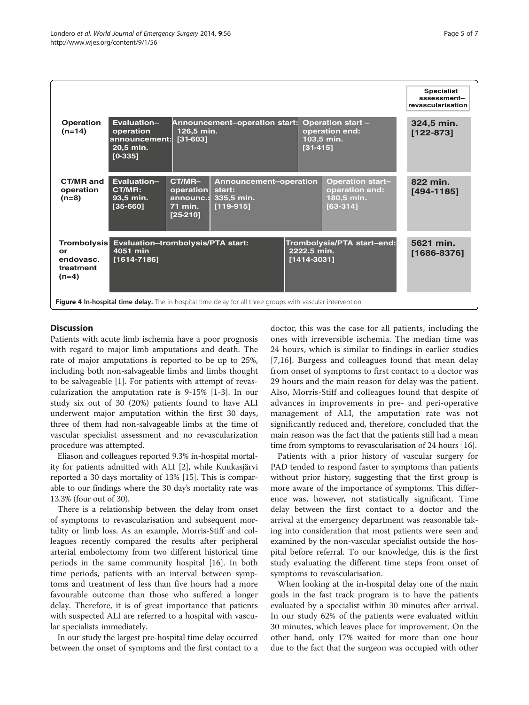<span id="page-4-0"></span>

## **Discussion**

Patients with acute limb ischemia have a poor prognosis with regard to major limb amputations and death. The rate of major amputations is reported to be up to 25%, including both non-salvageable limbs and limbs thought to be salvageable [[1](#page-5-0)]. For patients with attempt of revascularization the amputation rate is 9-15% [\[1](#page-5-0)-[3\]](#page-5-0). In our study six out of 30 (20%) patients found to have ALI underwent major amputation within the first 30 days, three of them had non-salvageable limbs at the time of vascular specialist assessment and no revascularization procedure was attempted.

Eliason and colleagues reported 9.3% in-hospital mortality for patients admitted with ALI [\[2](#page-5-0)], while Kuukasjärvi reported a 30 days mortality of 13% [\[15](#page-6-0)]. This is comparable to our findings where the 30 day's mortality rate was 13.3% (four out of 30).

There is a relationship between the delay from onset of symptoms to revascularisation and subsequent mortality or limb loss. As an example, Morris-Stiff and colleagues recently compared the results after peripheral arterial embolectomy from two different historical time periods in the same community hospital [[16](#page-6-0)]. In both time periods, patients with an interval between symptoms and treatment of less than five hours had a more favourable outcome than those who suffered a longer delay. Therefore, it is of great importance that patients with suspected ALI are referred to a hospital with vascular specialists immediately.

In our study the largest pre-hospital time delay occurred between the onset of symptoms and the first contact to a doctor, this was the case for all patients, including the ones with irreversible ischemia. The median time was 24 hours, which is similar to findings in earlier studies [[7](#page-5-0)[,16\]](#page-6-0). Burgess and colleagues found that mean delay from onset of symptoms to first contact to a doctor was 29 hours and the main reason for delay was the patient. Also, Morris-Stiff and colleagues found that despite of advances in improvements in pre- and peri-operative management of ALI, the amputation rate was not significantly reduced and, therefore, concluded that the main reason was the fact that the patients still had a mean time from symptoms to revascularisation of 24 hours [\[16\]](#page-6-0).

Patients with a prior history of vascular surgery for PAD tended to respond faster to symptoms than patients without prior history, suggesting that the first group is more aware of the importance of symptoms. This difference was, however, not statistically significant. Time delay between the first contact to a doctor and the arrival at the emergency department was reasonable taking into consideration that most patients were seen and examined by the non-vascular specialist outside the hospital before referral. To our knowledge, this is the first study evaluating the different time steps from onset of symptoms to revascularisation.

When looking at the in-hospital delay one of the main goals in the fast track program is to have the patients evaluated by a specialist within 30 minutes after arrival. In our study 62% of the patients were evaluated within 30 minutes, which leaves place for improvement. On the other hand, only 17% waited for more than one hour due to the fact that the surgeon was occupied with other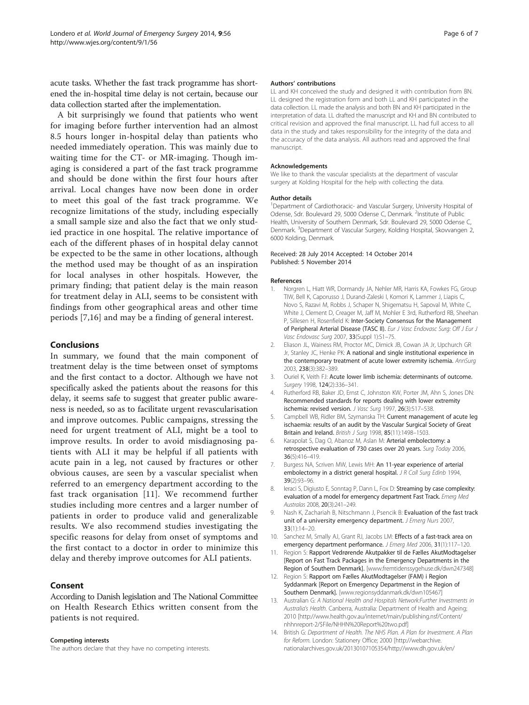<span id="page-5-0"></span>acute tasks. Whether the fast track programme has shortened the in-hospital time delay is not certain, because our data collection started after the implementation.

A bit surprisingly we found that patients who went for imaging before further intervention had an almost 8.5 hours longer in-hospital delay than patients who needed immediately operation. This was mainly due to waiting time for the CT- or MR-imaging. Though imaging is considered a part of the fast track programme and should be done within the first four hours after arrival. Local changes have now been done in order to meet this goal of the fast track programme. We recognize limitations of the study, including especially a small sample size and also the fact that we only studied practice in one hospital. The relative importance of each of the different phases of in hospital delay cannot be expected to be the same in other locations, although the method used may be thought of as an inspiration for local analyses in other hospitals. However, the primary finding; that patient delay is the main reason for treatment delay in ALI, seems to be consistent with findings from other geographical areas and other time periods [7,[16](#page-6-0)] and may be a finding of general interest.

### Conclusions

In summary, we found that the main component of treatment delay is the time between onset of symptoms and the first contact to a doctor. Although we have not specifically asked the patients about the reasons for this delay, it seems safe to suggest that greater public awareness is needed, so as to facilitate urgent revascularisation and improve outcomes. Public campaigns, stressing the need for urgent treatment of ALI, might be a tool to improve results. In order to avoid misdiagnosing patients with ALI it may be helpful if all patients with acute pain in a leg, not caused by fractures or other obvious causes, are seen by a vascular specialist when referred to an emergency department according to the fast track organisation [11]. We recommend further studies including more centres and a larger number of patients in order to produce valid and generalizable results. We also recommend studies investigating the specific reasons for delay from onset of symptoms and the first contact to a doctor in order to minimize this delay and thereby improve outcomes for ALI patients.

#### Consent

According to Danish legislation and The National Committee on Health Research Ethics written consent from the patients is not required.

#### Competing interests

The authors declare that they have no competing interests.

#### Authors' contributions

LL and KH conceived the study and designed it with contribution from BN. LL designed the registration form and both LL and KH participated in the data collection. LL made the analysis and both BN and KH participated in the interpretation of data. LL drafted the manuscript and KH and BN contributed to critical revision and approved the final manuscript. LL had full access to all data in the study and takes responsibility for the integrity of the data and the accuracy of the data analysis. All authors read and approved the final manuscript.

#### Acknowledgements

We like to thank the vascular specialists at the department of vascular surgery at Kolding Hospital for the help with collecting the data.

#### Author details

<sup>1</sup>Department of Cardiothoracic- and Vascular Surgery, University Hospital of Odense, Sdr. Boulevard 29, 5000 Odense C, Denmark. <sup>2</sup>Institute of Public Health, University of Southern Denmark, Sdr. Boulevard 29, 5000 Odense C, Denmark. <sup>3</sup>Department of Vascular Surgery, Kolding Hospital, Skovvangen 2, 6000 Kolding, Denmark.

#### Received: 28 July 2014 Accepted: 14 October 2014 Published: 5 November 2014

#### References

- 1. Norgren L, Hiatt WR, Dormandy JA, Nehler MR, Harris KA, Fowkes FG, Group TIW, Bell K, Caporusso J, Durand-Zaleski I, Komori K, Lammer J, Liapis C, Novo S, Razavi M, Robbs J, Schaper N, Shigematsu H, Sapoval M, White C, White J, Clement D, Creager M, Jaff M, Mohler E 3rd, Rutherford RB, Sheehan P, Sillesen H, Rosenfield K: Inter-Society Consensus for the Management of Peripheral Arterial Disease (TASC II). Eur J Vasc Endovasc Surg: Off J Eur J Vasc Endovasc Surg 2007, 33(Suppl 1):S1–75.
- 2. Eliason JL, Wainess RM, Proctor MC, Dimick JB, Cowan JA Jr, Upchurch GR Jr, Stanley JC, Henke PK: A national and single institutional experience in the contemporary treatment of acute lower extremity ischemia. AnnSurg 2003, 238(3):382–389.
- 3. Ouriel K, Veith FJ: Acute lower limb ischemia: determinants of outcome. Surgery 1998, 124(2):336–341.
- Rutherford RB, Baker JD, Ernst C, Johnston KW, Porter JM, Ahn S, Jones DN: Recommended standards for reports dealing with lower extremity ischemia: revised version. J Vasc Surg 1997, 26(3):517–538.
- 5. Campbell WB, Ridler BM, Szymanska TH: Current management of acute leg ischaemia: results of an audit by the Vascular Surgical Society of Great Britain and Ireland. British J Surg 1998, 85(11):1498–1503.
- 6. Karapolat S, Dag O, Abanoz M, Aslan M: Arterial embolectomy: a retrospective evaluation of 730 cases over 20 years. Surg Today 2006, 36(5):416–419.
- 7. Burgess NA, Scriven MW, Lewis MH: An 11-year experience of arterial embolectomy in a district general hospital. J R Coll Surg Edinb 1994, 39(2):93–96.
- 8. Ieraci S, Digiusto E, Sonntag P, Dann L, Fox D: Streaming by case complexity: evaluation of a model for emergency department Fast Track. Emerg Med Australas 2008, 20(3):241–249.
- 9. Nash K, Zachariah B, Nitschmann J, Psencik B: Evaluation of the fast track unit of a university emergency department. J Emerg Nurs 2007, 33(1):14–20.
- 10. Sanchez M, Smally AJ, Grant RJ, Jacobs LM: Effects of a fast-track area on emergency department performance. J Emerg Med 2006, 31(1):117-120.
- 11. Region S: Rapport Vedrørende Akutpakker til de Fælles AkutModtagelser [Report on Fast Track Packages in the Emergency Departments in the Region of Southern Denmark]. [[www.fremtidenssygehuse.dk/dwn247348\]](http://www.fremtidenssygehuse.dk/dwn247348)
- 12. Region S: Rapport om Fælles AkutModtagelser (FAM) i Region Syddanmark [Report on Emergency Departmenst in the Region of Southern Denmark]. [[www.regionsyddanmark.dk/dwn105467\]](http://www.regionsyddanmark.dk/dwn105467)
- 13. Australian G: A National Health and Hospitals Network:Further Investments in Australia's Health. Canberra, Australia: Department of Health and Ageing; 2010 [\[http://www.health.gov.au/internet/main/publishing.nsf/Content/](http://www.health.gov.au/internet/main/publishing.nsf/Content/nhhnreport-2/$File/NHHN%20Report%20two.pdf) [nhhnreport-2/\\$File/NHHN%20Report%20two.pdf](http://www.health.gov.au/internet/main/publishing.nsf/Content/nhhnreport-2/$File/NHHN%20Report%20two.pdf)]
- 14. British G: Department of Health. The NHS Plan. A Plan for Investment. A Plan for Reform. London: Stationery Office; 2000 [\[http://webarchive.](http://webarchive.nationalarchives.gov.uk/20130107105354/http://www.dh.gov.uk/en/Publicationsandstatistics/Publications/PublicationsPolicyAndGuidance/DH_4002960) [nationalarchives.gov.uk/20130107105354/http://www.dh.gov.uk/en/](http://webarchive.nationalarchives.gov.uk/20130107105354/http://www.dh.gov.uk/en/Publicationsandstatistics/Publications/PublicationsPolicyAndGuidance/DH_4002960)